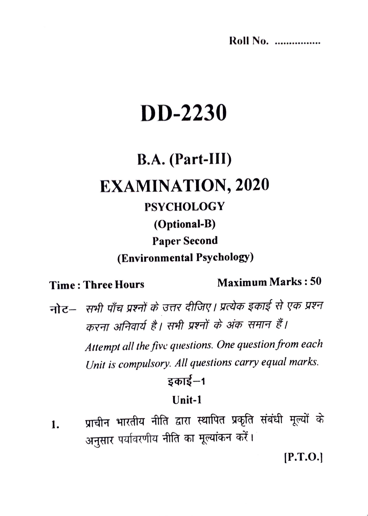**Roll No.** ................

# **DD-2230**

# B.A. (Part-III) **EXAMINATION, 2020 PSYCHOLOGY** (Optional-B) **Paper Second** (Environmental Psychology)

#### **Time: Three Hours**

#### **Maximum Marks: 50**

नोट– सभी पाँच प्रश्नों के उत्तर दीजिए। प्रत्येक इकाई से एक प्रश्न करना अनिवार्य है। सभी प्रश्नों के अंक समान हैं। Attempt all the five questions. One question from each Unit is compulsory. All questions carry equal marks. डकार्ड–1

#### Unit-1

प्राचीन भारतीय नीति द्वारा स्थापित प्रकृति संबंधी मूल्यों के 1. अनुसार पर्यावरणीय नीति का मूल्यांकन करें।

 $[P.T.O.]$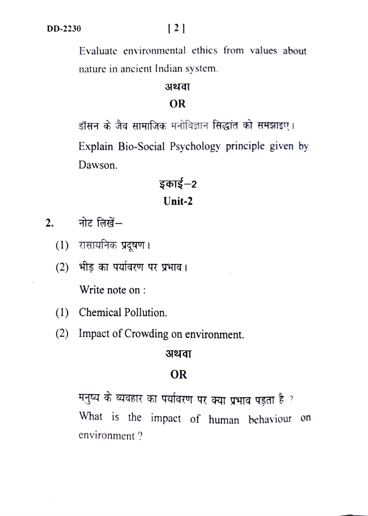Evaluate environmental ethics from values about nature in ancient Indian system.

#### अथवा

#### **OR**

डॉसन के जैव सामाजिक मनोविज्ञान सिद्धांत को समझाइए। Explain Bio-Social Psychology principle given by Dawson.

# **इकाई—2 Unit-2**

- $2.$  नोट लिखें $-$ 
	- $(1)$  रासायनिक प्रदूषण ।
	- (2) भीड़ का पर्यावरण पर प्रभाव। Write note on :
	- ( 1) Chemical Pollution.
	- (2) Impact of Crowding on environment.

#### अथवा

#### **OR**

मनुष्य के व्यवहार का पर्यावरण पर क्या प्रभाव पड़ता है ? What is the impact of human behaviour on environment?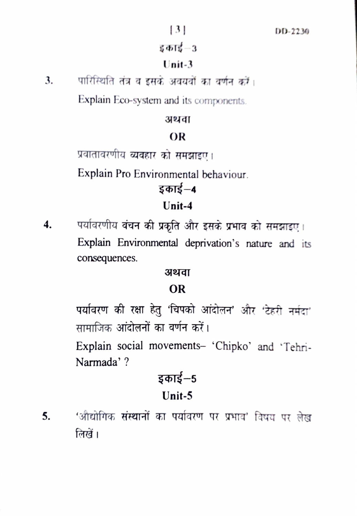#### इकाई–3

#### $Unit-3$

3. पारिस्थिति तंत्र व इसके अवयवों का वर्णन करें।

Explain Eco-system and its components.

#### अथवा

#### OR

प्रवातावरणीय व्यवहार को समझाइए।

Explain Pro Environmental behaviour.

# इकाई–4

#### $Unit-4$

पर्यावरणीय बंचन की प्रकृति और इसके प्रभाव को समझाइए।  $\boldsymbol{4}$ . Explain Environmental deprivation's nature and its consequences.

#### अथवा

### **OR**

पर्यावरण की रक्षा हेतु 'चिपको आंदोलन' और 'टेहरी नर्मदा' सामाजिक आंदोलनों का वर्णन करें।

Explain social movements- 'Chipko' and 'Tehri-Narmada' ?

# इकाई–5 Unit-5

'औद्योगिक संस्थानों का पर्यावरण पर प्रभाव' विषय पर लेख 5. लिखें ।